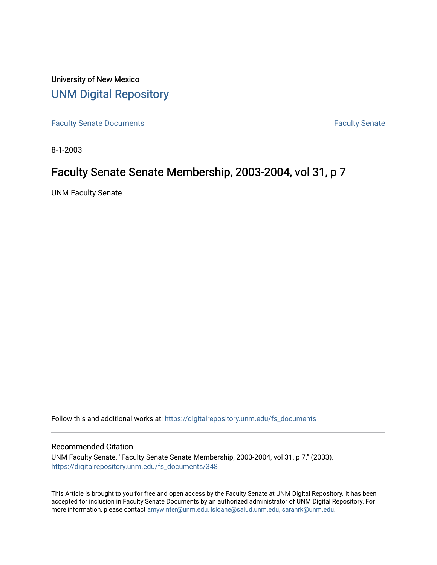University of New Mexico [UNM Digital Repository](https://digitalrepository.unm.edu/) 

[Faculty Senate Documents](https://digitalrepository.unm.edu/fs_documents) **Faculty** Senate **Faculty** Senate

8-1-2003

## Faculty Senate Senate Membership, 2003-2004, vol 31, p 7

UNM Faculty Senate

Follow this and additional works at: [https://digitalrepository.unm.edu/fs\\_documents](https://digitalrepository.unm.edu/fs_documents?utm_source=digitalrepository.unm.edu%2Ffs_documents%2F348&utm_medium=PDF&utm_campaign=PDFCoverPages)

## Recommended Citation

UNM Faculty Senate. "Faculty Senate Senate Membership, 2003-2004, vol 31, p 7." (2003). [https://digitalrepository.unm.edu/fs\\_documents/348](https://digitalrepository.unm.edu/fs_documents/348?utm_source=digitalrepository.unm.edu%2Ffs_documents%2F348&utm_medium=PDF&utm_campaign=PDFCoverPages)

This Article is brought to you for free and open access by the Faculty Senate at UNM Digital Repository. It has been accepted for inclusion in Faculty Senate Documents by an authorized administrator of UNM Digital Repository. For more information, please contact [amywinter@unm.edu, lsloane@salud.unm.edu, sarahrk@unm.edu](mailto:amywinter@unm.edu,%20lsloane@salud.unm.edu,%20sarahrk@unm.edu).